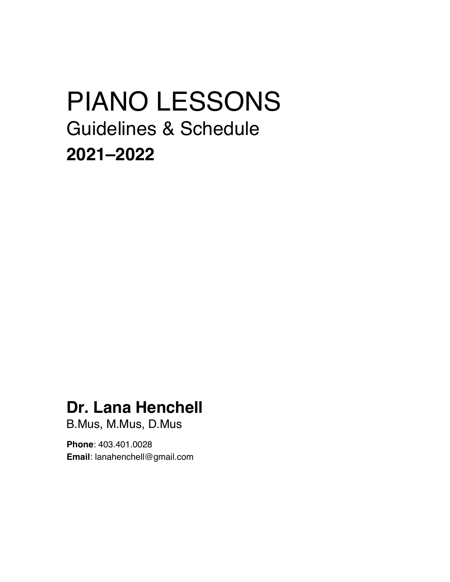# PIANO LESSONS Guidelines & Schedule **2021–2022**

### **Dr. Lana Henchell**

B.Mus, M.Mus, D.Mus

**Phone**: 403.401.0028 **Email**: lanahenchell@gmail.com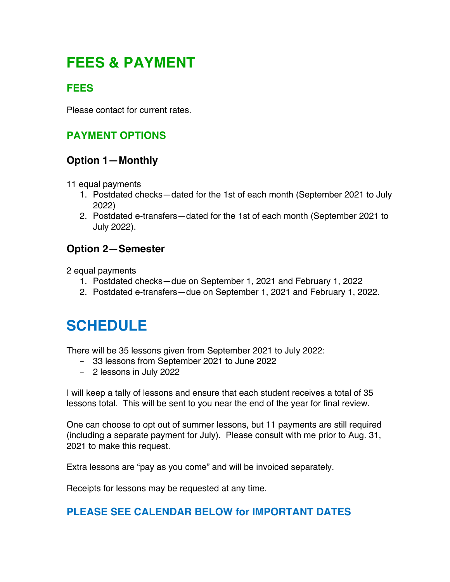### **FEES & PAYMENT**

### **FEES**

Please contact for current rates.

### **PAYMENT OPTIONS**

#### **Option 1—Monthly**

- 11 equal payments
	- 1. Postdated checks—dated for the 1st of each month (September 2021 to July 2022)
	- 2. Postdated e-transfers—dated for the 1st of each month (September 2021 to July 2022).

#### **Option 2—Semester**

2 equal payments

- 1. Postdated checks—due on September 1, 2021 and February 1, 2022
- 2. Postdated e-transfers—due on September 1, 2021 and February 1, 2022.

### **SCHEDULE**

There will be 35 lessons given from September 2021 to July 2022:

- 33 lessons from September 2021 to June 2022
- 2 lessons in July 2022

I will keep a tally of lessons and ensure that each student receives a total of 35 lessons total. This will be sent to you near the end of the year for final review.

One can choose to opt out of summer lessons, but 11 payments are still required (including a separate payment for July). Please consult with me prior to Aug. 31, 2021 to make this request.

Extra lessons are "pay as you come" and will be invoiced separately.

Receipts for lessons may be requested at any time.

#### **PLEASE SEE CALENDAR BELOW for IMPORTANT DATES**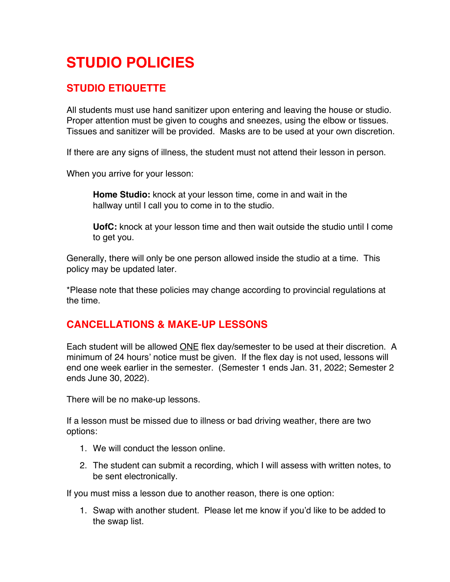## **STUDIO POLICIES**

#### **STUDIO ETIQUETTE**

All students must use hand sanitizer upon entering and leaving the house or studio. Proper attention must be given to coughs and sneezes, using the elbow or tissues. Tissues and sanitizer will be provided. Masks are to be used at your own discretion.

If there are any signs of illness, the student must not attend their lesson in person.

When you arrive for your lesson:

**Home Studio:** knock at your lesson time, come in and wait in the hallway until I call you to come in to the studio.

**UofC:** knock at your lesson time and then wait outside the studio until I come to get you.

Generally, there will only be one person allowed inside the studio at a time. This policy may be updated later.

\*Please note that these policies may change according to provincial regulations at the time.

#### **CANCELLATIONS & MAKE-UP LESSONS**

Each student will be allowed ONE flex day/semester to be used at their discretion. A minimum of 24 hours' notice must be given. If the flex day is not used, lessons will end one week earlier in the semester. (Semester 1 ends Jan. 31, 2022; Semester 2 ends June 30, 2022).

There will be no make-up lessons.

If a lesson must be missed due to illness or bad driving weather, there are two options:

- 1. We will conduct the lesson online.
- 2. The student can submit a recording, which I will assess with written notes, to be sent electronically.

If you must miss a lesson due to another reason, there is one option:

1. Swap with another student. Please let me know if you'd like to be added to the swap list.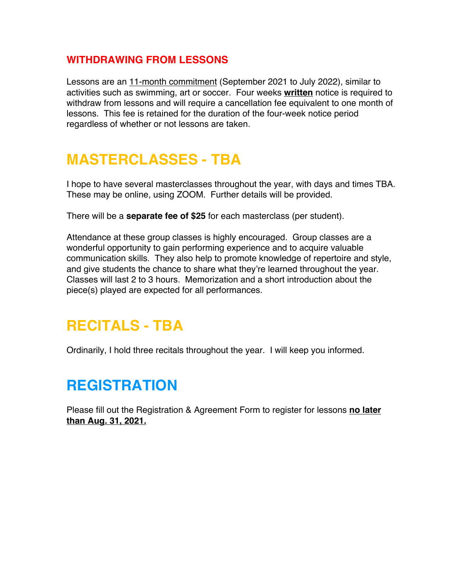#### **WITHDRAWING FROM LESSONS**

Lessons are an 11-month commitment (September 2021 to July 2022), similar to activities such as swimming, art or soccer. Four weeks **written** notice is required to withdraw from lessons and will require a cancellation fee equivalent to one month of lessons. This fee is retained for the duration of the four-week notice period regardless of whether or not lessons are taken.

### **MASTERCLASSES - TBA**

I hope to have several masterclasses throughout the year, with days and times TBA. These may be online, using ZOOM. Further details will be provided.

There will be a **separate fee of \$25** for each masterclass (per student).

Attendance at these group classes is highly encouraged. Group classes are a wonderful opportunity to gain performing experience and to acquire valuable communication skills. They also help to promote knowledge of repertoire and style, and give students the chance to share what they're learned throughout the year. Classes will last 2 to 3 hours. Memorization and a short introduction about the piece(s) played are expected for all performances.

### **RECITALS - TBA**

Ordinarily, I hold three recitals throughout the year. I will keep you informed.

### **REGISTRATION**

Please fill out the Registration & Agreement Form to register for lessons **no later than Aug. 31, 2021.**